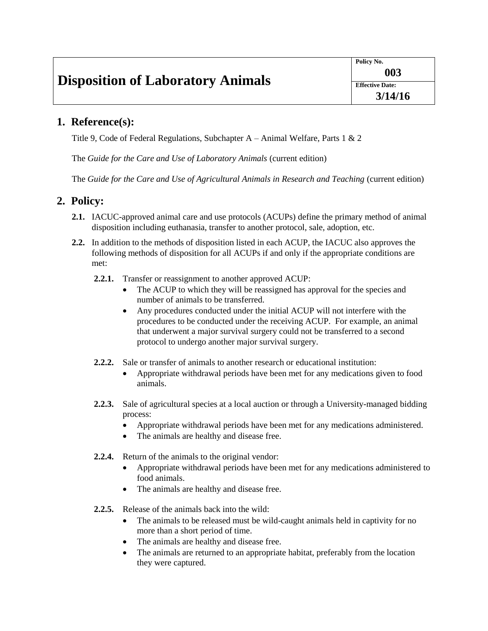## **1. Reference(s):**

Title 9, Code of Federal Regulations, Subchapter  $A -$ Animal Welfare, Parts 1 & 2

The *Guide for the Care and Use of Laboratory Animals* (current edition)

The *Guide for the Care and Use of Agricultural Animals in Research and Teaching* (current edition)

## **2. Policy:**

- **2.1.** IACUC-approved animal care and use protocols (ACUPs) define the primary method of animal disposition including euthanasia, transfer to another protocol, sale, adoption, etc.
- **2.2.** In addition to the methods of disposition listed in each ACUP, the IACUC also approves the following methods of disposition for all ACUPs if and only if the appropriate conditions are met:
	- **2.2.1.** Transfer or reassignment to another approved ACUP:
		- The ACUP to which they will be reassigned has approval for the species and number of animals to be transferred.
		- Any procedures conducted under the initial ACUP will not interfere with the procedures to be conducted under the receiving ACUP. For example, an animal that underwent a major survival surgery could not be transferred to a second protocol to undergo another major survival surgery.
	- **2.2.2.** Sale or transfer of animals to another research or educational institution:
		- Appropriate withdrawal periods have been met for any medications given to food animals.
	- **2.2.3.** Sale of agricultural species at a local auction or through a University-managed bidding process:
		- Appropriate withdrawal periods have been met for any medications administered.
		- The animals are healthy and disease free.
	- **2.2.4.** Return of the animals to the original vendor:
		- Appropriate withdrawal periods have been met for any medications administered to food animals.
		- The animals are healthy and disease free.
	- **2.2.5.** Release of the animals back into the wild:
		- The animals to be released must be wild-caught animals held in captivity for no more than a short period of time.
		- The animals are healthy and disease free.
		- The animals are returned to an appropriate habitat, preferably from the location they were captured.